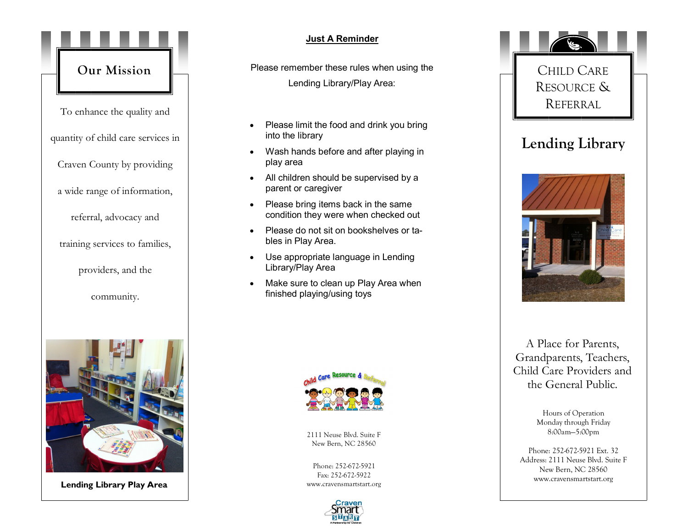



**Lending Library Play Area**

## **Just A Reminder**

Please remember these rules when using the Lending Library/Play Area:

- Please limit the food and drink you bring into the library
- Wash hands before and after playing in play area
- All children should be supervised by a parent or caregiver
- Please bring items back in the same condition they were when checked out
- Please do not sit on bookshelves or tables in Play Area.
- Use appropriate language in Lending Library/Play Area
- Make sure to clean up Play Area when finished playing/using toys



2111 Neuse Blvd. Suite F New Bern, NC 28560

Phone: 252-672-5921 Fax: 252-672-5922 www.cravensmartstart.org





A Place for Parents, Grandparents, Teachers, Child Care Providers and the General Public.

> Hours of Operation Monday through Friday 8:00am—5:00pm

Phone: 252-672-5921 Ext. 32 Address: 2111 Neuse Blvd. Suite F New Bern, NC 28560 www.cravensmartstart.org